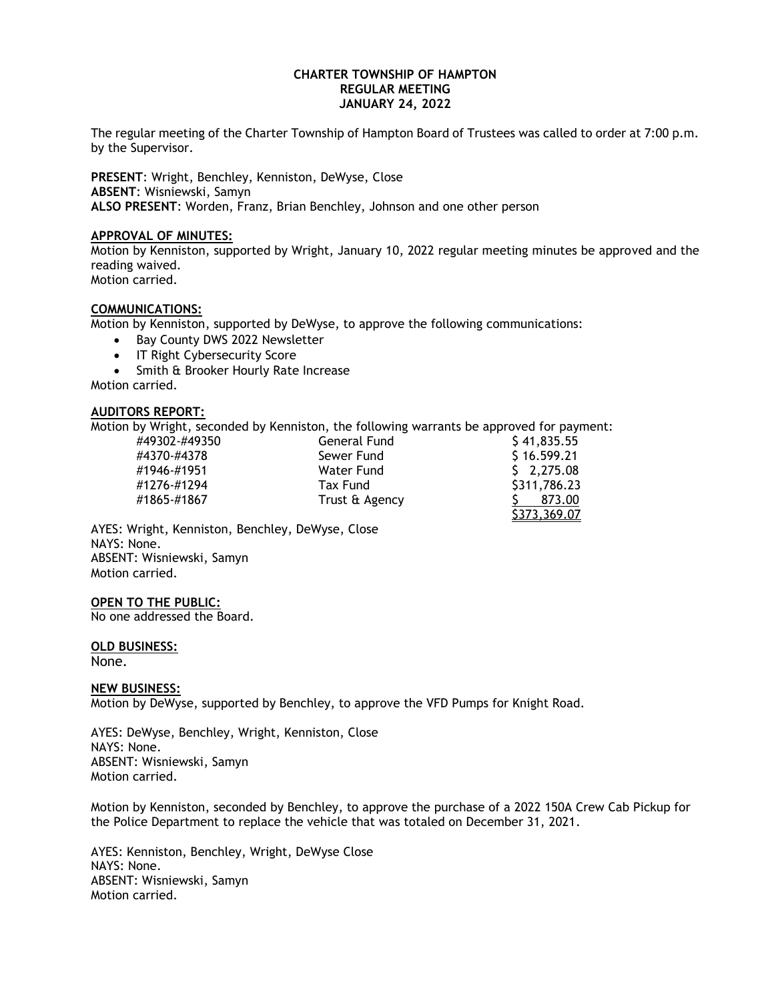### **CHARTER TOWNSHIP OF HAMPTON REGULAR MEETING JANUARY 24, 2022**

The regular meeting of the Charter Township of Hampton Board of Trustees was called to order at 7:00 p.m. by the Supervisor.

**PRESENT**: Wright, Benchley, Kenniston, DeWyse, Close **ABSENT**: Wisniewski, Samyn **ALSO PRESENT**: Worden, Franz, Brian Benchley, Johnson and one other person

#### **APPROVAL OF MINUTES:**

Motion by Kenniston, supported by Wright, January 10, 2022 regular meeting minutes be approved and the reading waived. Motion carried.

### **COMMUNICATIONS:**

Motion by Kenniston, supported by DeWyse, to approve the following communications:

- Bay County DWS 2022 Newsletter
- IT Right Cybersecurity Score
- Smith & Brooker Hourly Rate Increase

Motion carried.

#### **AUDITORS REPORT:**

Motion by Wright, seconded by Kenniston, the following warrants be approved for payment:

| #49302-#49350 | General Fund   | \$41,835.55  |
|---------------|----------------|--------------|
| #4370-#4378   | Sewer Fund     | \$16.599.21  |
| #1946-#1951   | Water Fund     | \$2,275.08   |
| #1276-#1294   | Tax Fund       | \$311,786.23 |
| #1865-#1867   | Trust & Agency | 873.00       |
|               |                | \$373,369.07 |
|               |                |              |

AYES: Wright, Kenniston, Benchley, DeWyse, Close NAYS: None. ABSENT: Wisniewski, Samyn Motion carried.

**OPEN TO THE PUBLIC:**

No one addressed the Board.

**OLD BUSINESS:**

None.

### **NEW BUSINESS:**

Motion by DeWyse, supported by Benchley, to approve the VFD Pumps for Knight Road.

AYES: DeWyse, Benchley, Wright, Kenniston, Close NAYS: None. ABSENT: Wisniewski, Samyn Motion carried.

Motion by Kenniston, seconded by Benchley, to approve the purchase of a 2022 150A Crew Cab Pickup for the Police Department to replace the vehicle that was totaled on December 31, 2021.

AYES: Kenniston, Benchley, Wright, DeWyse Close NAYS: None. ABSENT: Wisniewski, Samyn Motion carried.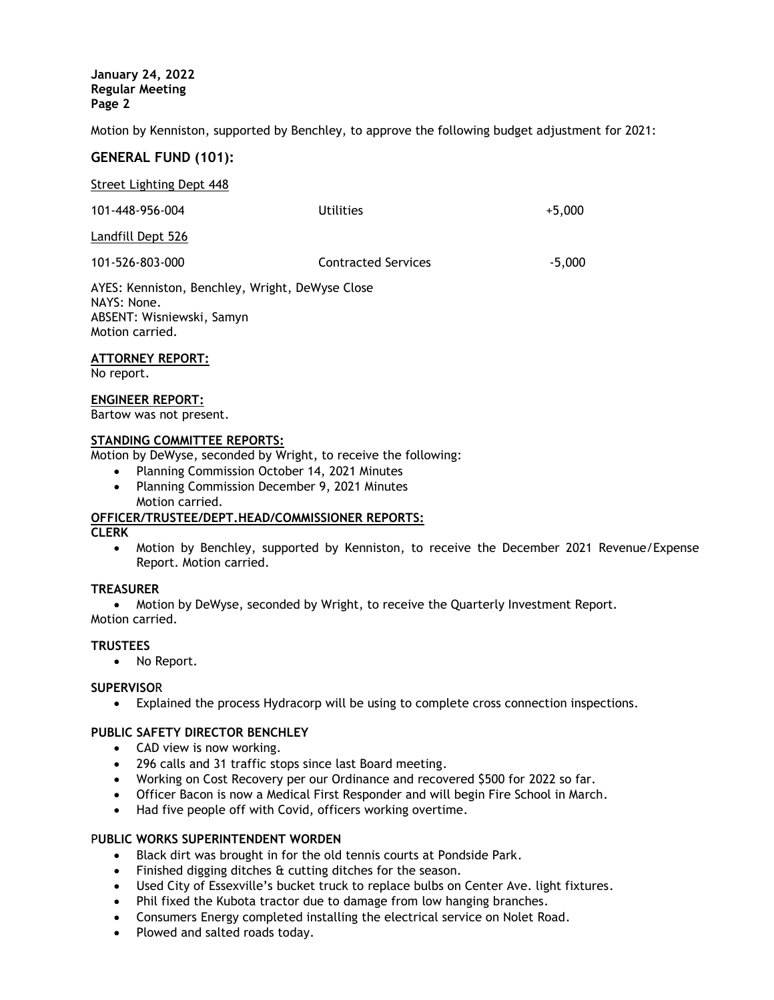**January 24, 2022 Regular Meeting Page 2**

Motion by Kenniston, supported by Benchley, to approve the following budget adjustment for 2021:

# **GENERAL FUND (101):**

Street Lighting Dept 448

| 101-448-956-004                                                                                                | <b>Utilities</b>           | $+5,000$ |
|----------------------------------------------------------------------------------------------------------------|----------------------------|----------|
| Landfill Dept 526                                                                                              |                            |          |
| 101-526-803-000                                                                                                | <b>Contracted Services</b> | $-5,000$ |
| AYES: Kenniston, Benchley, Wright, DeWyse Close<br>NAYS: None.<br>ABSENT: Wisniewski, Samyn<br>Motion carried. |                            |          |

### **ATTORNEY REPORT:**

No report.

#### **ENGINEER REPORT:**

Bartow was not present.

## **STANDING COMMITTEE REPORTS:**

Motion by DeWyse, seconded by Wright, to receive the following:

- Planning Commission October 14, 2021 Minutes
- Planning Commission December 9, 2021 Minutes Motion carried.

### **OFFICER/TRUSTEE/DEPT.HEAD/COMMISSIONER REPORTS:**

**CLERK** 

 Motion by Benchley, supported by Kenniston, to receive the December 2021 Revenue/Expense Report. Motion carried.

### **TREASURER**

Motion by DeWyse, seconded by Wright, to receive the Quarterly Investment Report.

Motion carried.

## **TRUSTEES**

• No Report.

### **SUPERVISO**R

Explained the process Hydracorp will be using to complete cross connection inspections.

# **PUBLIC SAFETY DIRECTOR BENCHLEY**

- CAD view is now working.
- 296 calls and 31 traffic stops since last Board meeting.
- Working on Cost Recovery per our Ordinance and recovered \$500 for 2022 so far.
- Officer Bacon is now a Medical First Responder and will begin Fire School in March.
- Had five people off with Covid, officers working overtime.

### P**UBLIC WORKS SUPERINTENDENT WORDEN**

- Black dirt was brought in for the old tennis courts at Pondside Park.
- Finished digging ditches & cutting ditches for the season.
- Used City of Essexville's bucket truck to replace bulbs on Center Ave. light fixtures.
- Phil fixed the Kubota tractor due to damage from low hanging branches.
- Consumers Energy completed installing the electrical service on Nolet Road.
- Plowed and salted roads today.